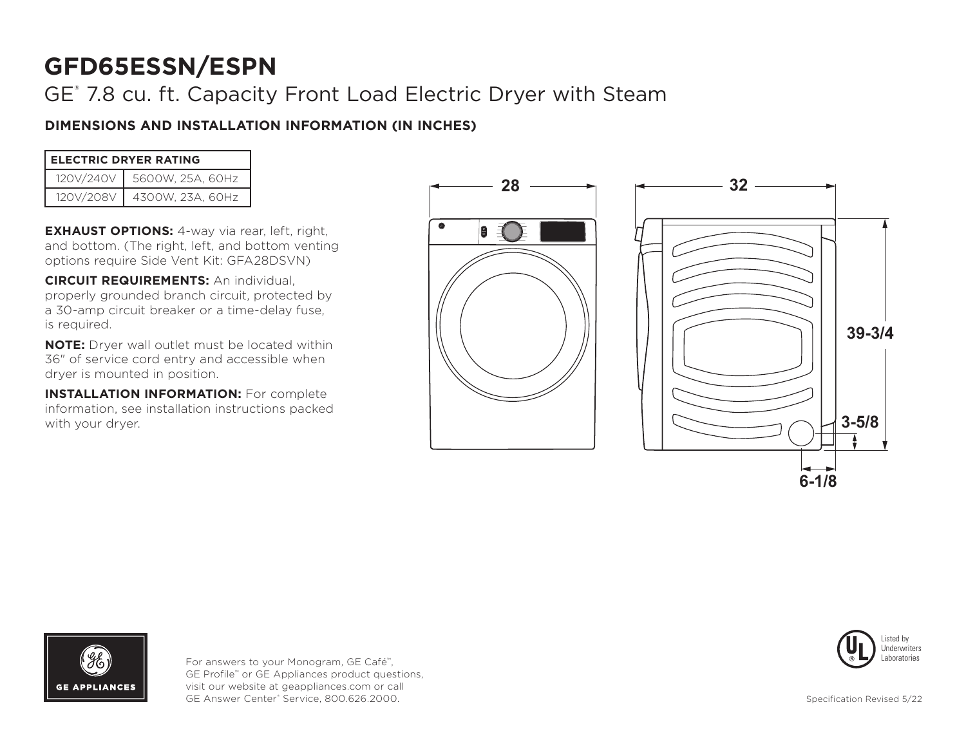# GE® 7.8 cu. ft. Capacity Front Load Electric Dryer with Steam

# **DIMENSIONS AND INSTALLATION INFORMATION (IN INCHES)**

| <b>ELECTRIC DRYER RATING</b> |                  |
|------------------------------|------------------|
| 120V/240V                    | 5600W, 25A, 60Hz |
| 120V/208V                    | 4300W, 23A, 60Hz |

**EXHAUST OPTIONS:** 4-way via rear, left, right, and bottom. (The right, left, and bottom venting options require Side Vent Kit: GFA28DSVN)

**CIRCUIT REQUIREMENTS:** An individual, properly grounded branch circuit, protected by a 30-amp circuit breaker or a time-delay fuse, is required.

**NOTE:** Dryer wall outlet must be located within 36" of service cord entry and accessible when dryer is mounted in position.

**INSTALLATION INFORMATION:** For complete information, see installation instructions packed with your dryer.







For answers to your Monogram, GE Café™, GE Profile™ or GE Appliances product questions, visit our website at geappliances.com or call GE Answer Center® Service, 800.626.2000.

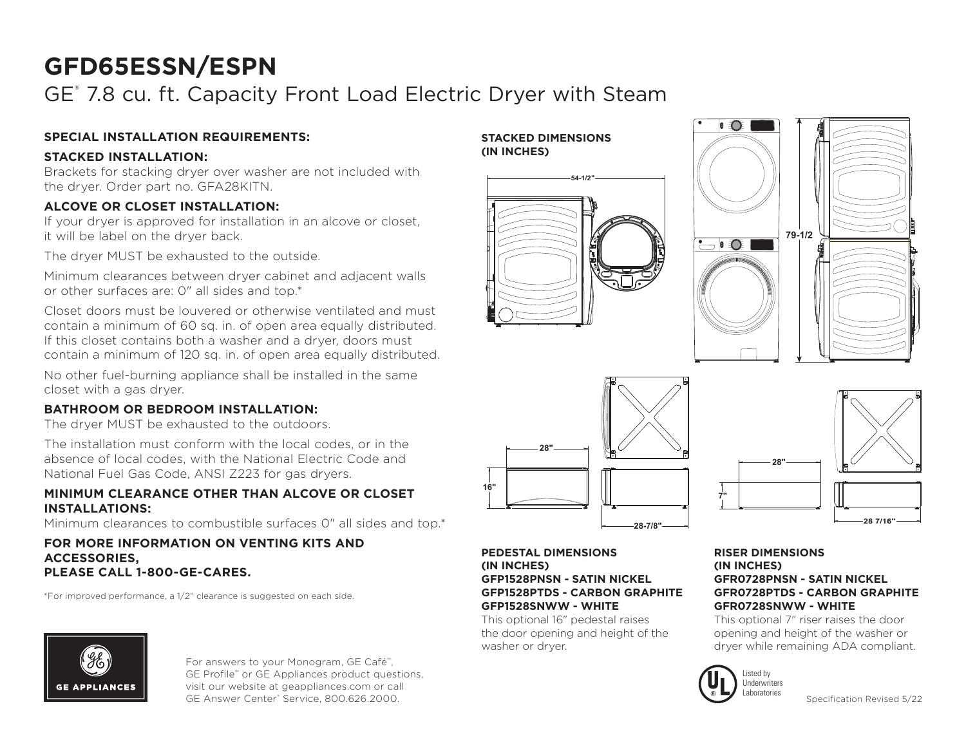# GE® 7.8 cu. ft. Capacity Front Load Electric Dryer with Steam

## **SPECIAL INSTALLATION REQUIREMENTS:**

## **STACKED INSTALLATION:**

Brackets for stacking dryer over washer are not included with the dryer. Order part no. GFA28KITN.

## **ALCOVE OR CLOSET INSTALLATION:**

If your dryer is approved for installation in an alcove or closet, it will be label on the dryer back.

The dryer MUST be exhausted to the outside.

Minimum clearances between dryer cabinet and adjacent walls or other surfaces are: 0" all sides and top.\*

Closet doors must be louvered or otherwise ventilated and must contain a minimum of 60 sq. in. of open area equally distributed. If this closet contains both a washer and a dryer, doors must contain a minimum of 120 sq. in. of open area equally distributed.

No other fuel-burning appliance shall be installed in the same closet with a gas dryer.

## **BATHROOM OR BEDROOM INSTALLATION:**

The dryer MUST be exhausted to the outdoors.

The installation must conform with the local codes, or in the absence of local codes, with the National Electric Code and National Fuel Gas Code, ANSI Z223 for gas dryers.

### **MINIMUM CLEARANCE OTHER THAN ALCOVE OR CLOSET INSTALLATIONS:**

Minimum clearances to combustible surfaces 0" all sides and top.\*

#### **FOR MORE INFORMATION ON VENTING KITS AND ACCESSORIES, PLEASE CALL 1-800-GE-CARES.**

\*For improved performance, a 1/2" clearance is suggested on each side.



For answers to your Monogram, GE Café™, GE Profile™ or GE Appliances product questions, visit our website at geappliances.com or call GE Answer Center® Service, 800.626.2000.









#### **PEDESTAL DIMENSIONS (IN INCHES) GFP1528PNSN - SATIN NICKEL GFP1528PTDS - CARBON GRAPHITE GFP1528SNWW - WHITE**

This optional 16" pedestal raises the door opening and height of the washer or dryer.

#### **RISER DIMENSIONS (IN INCHES) GFR0728PNSN - SATIN NICKEL GFR0728PTDS - CARBON GRAPHITE GFR0728SNWW - WHITE**

This optional 7" riser raises the door opening and height of the washer or dryer while remaining ADA compliant.



**7"**

Specification Revised 5/22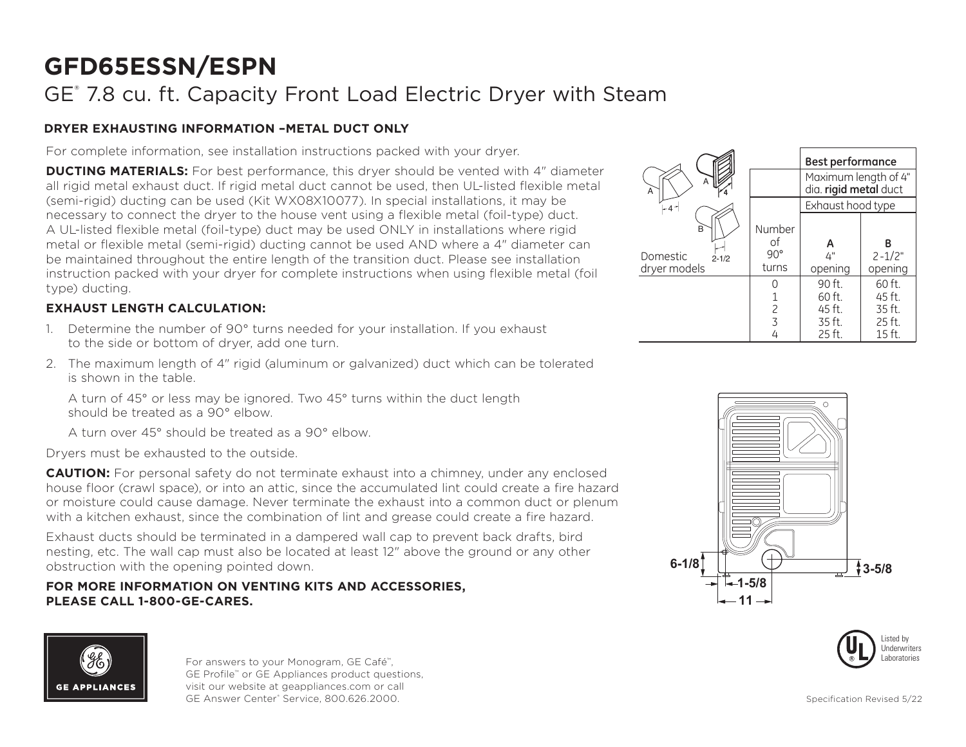# GE® 7.8 cu. ft. Capacity Front Load Electric Dryer with Steam

## **DRYER EXHAUSTING INFORMATION –METAL DUCT ONLY**

For complete information, see installation instructions packed with your dryer.

**DUCTING MATERIALS:** For best performance, this dryer should be vented with 4" diameter all rigid metal exhaust duct. If rigid metal duct cannot be used, then UL-listed flexible metal (semi-rigid) ducting can be used (Kit WX08X10077). In special installations, it may be necessary to connect the dryer to the house vent using a flexible metal (foil-type) duct. A UL-listed flexible metal (foil-type) duct may be used ONLY in installations where rigid metal or flexible metal (semi-rigid) ducting cannot be used AND where a 4" diameter can be maintained throughout the entire length of the transition duct. Please see installation instruction packed with your dryer for complete instructions when using flexible metal (foil type) ducting.

# **EXHAUST LENGTH CALCULATION:**

- 1. Determine the number of 90° turns needed for your installation. If you exhaust to the side or bottom of dryer, add one turn.
- 2. The maximum length of 4" rigid (aluminum or galvanized) duct which can be tolerated is shown in the table.

A turn of 45° or less may be ignored. Two 45° turns within the duct length should be treated as a 90° elbow.

A turn over 45° should be treated as a 90° elbow.

Dryers must be exhausted to the outside.

**CAUTION:** For personal safety do not terminate exhaust into a chimney, under any enclosed house floor (crawl space), or into an attic, since the accumulated lint could create a fire hazard or moisture could cause damage. Never terminate the exhaust into a common duct or plenum with a kitchen exhaust, since the combination of lint and grease could create a fire hazard.

Exhaust ducts should be terminated in a dampered wall cap to prevent back drafts, bird nesting, etc. The wall cap must also be located at least 12" above the ground or any other obstruction with the opening pointed down.

### **FOR MORE INFORMATION ON VENTING KITS AND ACCESSORIES, PLEASE CALL 1-800-GE-CARES.**









For answers to your Monogram, GE Café™, GE Profile™ or GE Appliances product questions, visit our website at geappliances.com or call GE Answer Center® Service, 800.626.2000.